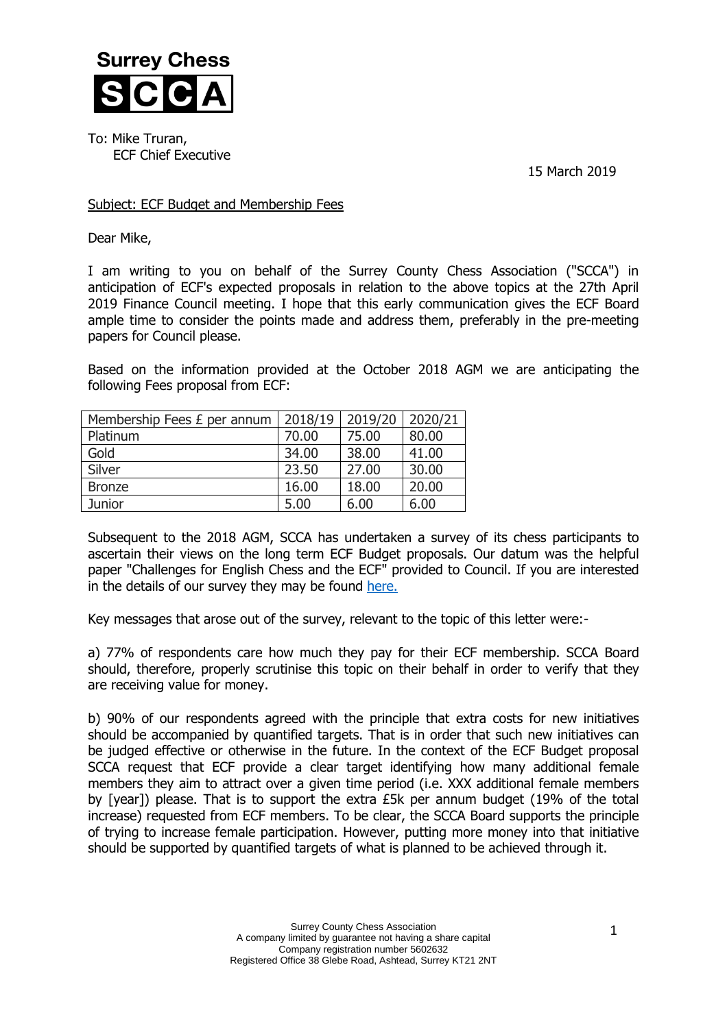

To: Mike Truran, ECF Chief Executive

15 March 2019

## Subject: ECF Budget and Membership Fees

Dear Mike,

I am writing to you on behalf of the Surrey County Chess Association ("SCCA") in anticipation of ECF's expected proposals in relation to the above topics at the 27th April 2019 Finance Council meeting. I hope that this early communication gives the ECF Board ample time to consider the points made and address them, preferably in the pre-meeting papers for Council please.

Based on the information provided at the October 2018 AGM we are anticipating the following Fees proposal from ECF:

| Membership Fees £ per annum | 2018/19 | 2019/20 | 2020/21 |
|-----------------------------|---------|---------|---------|
| Platinum                    | 70.00   | 75.00   | 80.00   |
| Gold                        | 34.00   | 38.00   | 41.00   |
| Silver                      | 23.50   | 27.00   | 30.00   |
| <b>Bronze</b>               | 16.00   | 18.00   | 20.00   |
| Junior                      | 5.00    | 6.00    | 6.00    |

Subsequent to the 2018 AGM, SCCA has undertaken a survey of its chess participants to ascertain their views on the long term ECF Budget proposals. Our datum was the helpful paper "Challenges for English Chess and the ECF" provided to Council. If you are interested in the details of our survey they may be found [here.](http://www.scca.co.uk/SCCA/docs/SCCA%20Survey%20on%20ECF%20Membership%20Fees%20Status%2014%20March%202019-1.pdf)

Key messages that arose out of the survey, relevant to the topic of this letter were:-

a) 77% of respondents care how much they pay for their ECF membership. SCCA Board should, therefore, properly scrutinise this topic on their behalf in order to verify that they are receiving value for money.

b) 90% of our respondents agreed with the principle that extra costs for new initiatives should be accompanied by quantified targets. That is in order that such new initiatives can be judged effective or otherwise in the future. In the context of the ECF Budget proposal SCCA request that ECF provide a clear target identifying how many additional female members they aim to attract over a given time period (i.e. XXX additional female members by [year]) please. That is to support the extra £5k per annum budget (19% of the total increase) requested from ECF members. To be clear, the SCCA Board supports the principle of trying to increase female participation. However, putting more money into that initiative should be supported by quantified targets of what is planned to be achieved through it.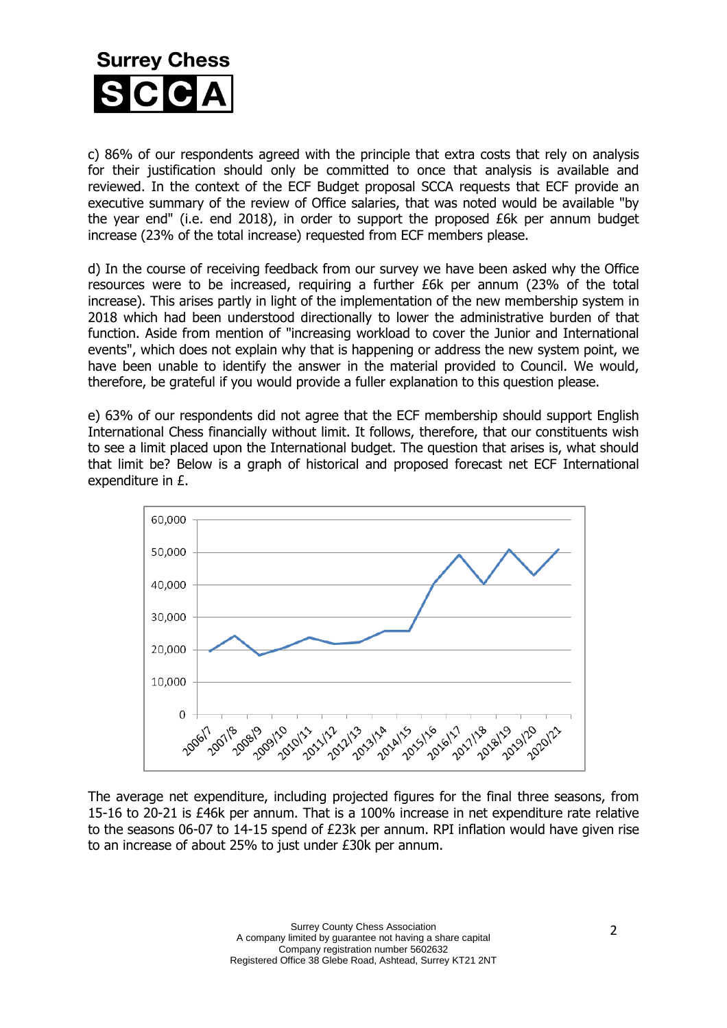

c) 86% of our respondents agreed with the principle that extra costs that rely on analysis for their justification should only be committed to once that analysis is available and reviewed. In the context of the ECF Budget proposal SCCA requests that ECF provide an executive summary of the review of Office salaries, that was noted would be available "by the year end" (i.e. end 2018), in order to support the proposed £6k per annum budget increase (23% of the total increase) requested from ECF members please.

d) In the course of receiving feedback from our survey we have been asked why the Office resources were to be increased, requiring a further £6k per annum (23% of the total increase). This arises partly in light of the implementation of the new membership system in 2018 which had been understood directionally to lower the administrative burden of that function. Aside from mention of "increasing workload to cover the Junior and International events", which does not explain why that is happening or address the new system point, we have been unable to identify the answer in the material provided to Council. We would, therefore, be grateful if you would provide a fuller explanation to this question please.

e) 63% of our respondents did not agree that the ECF membership should support English International Chess financially without limit. It follows, therefore, that our constituents wish to see a limit placed upon the International budget. The question that arises is, what should that limit be? Below is a graph of historical and proposed forecast net ECF International expenditure in £.



The average net expenditure, including projected figures for the final three seasons, from 15-16 to 20-21 is £46k per annum. That is a 100% increase in net expenditure rate relative to the seasons 06-07 to 14-15 spend of £23k per annum. RPI inflation would have given rise to an increase of about 25% to just under £30k per annum.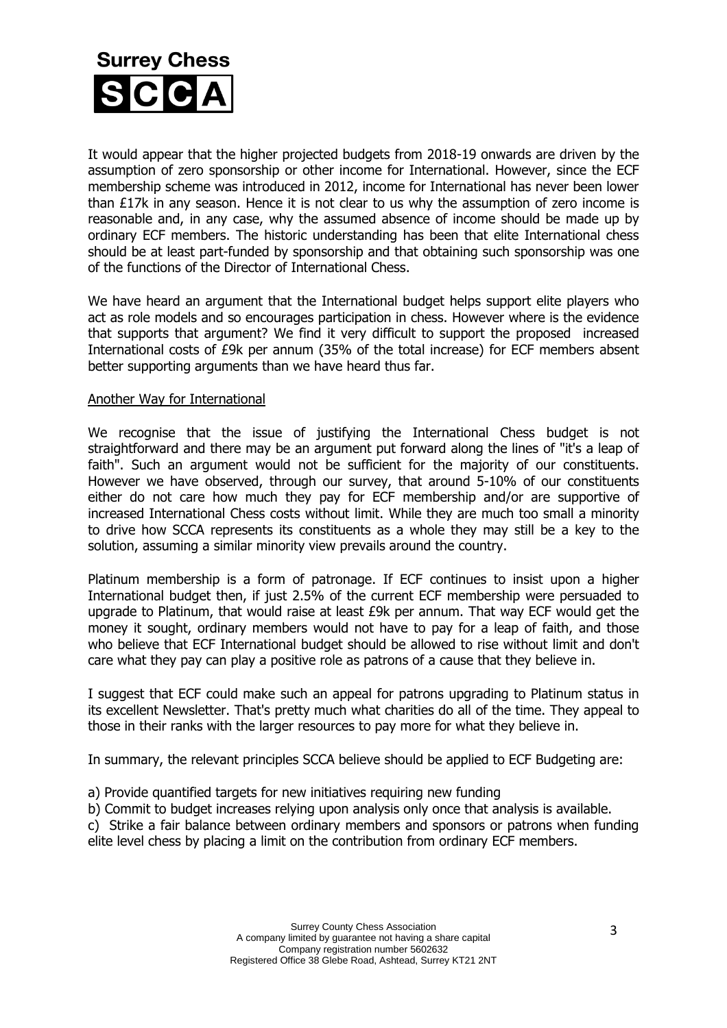

It would appear that the higher projected budgets from 2018-19 onwards are driven by the assumption of zero sponsorship or other income for International. However, since the ECF membership scheme was introduced in 2012, income for International has never been lower than  $E17k$  in any season. Hence it is not clear to us why the assumption of zero income is reasonable and, in any case, why the assumed absence of income should be made up by ordinary ECF members. The historic understanding has been that elite International chess should be at least part-funded by sponsorship and that obtaining such sponsorship was one of the functions of the Director of International Chess.

We have heard an argument that the International budget helps support elite players who act as role models and so encourages participation in chess. However where is the evidence that supports that argument? We find it very difficult to support the proposed increased International costs of £9k per annum (35% of the total increase) for ECF members absent better supporting arguments than we have heard thus far.

## Another Way for International

We recognise that the issue of justifying the International Chess budget is not straightforward and there may be an argument put forward along the lines of "it's a leap of faith". Such an argument would not be sufficient for the majority of our constituents. However we have observed, through our survey, that around 5-10% of our constituents either do not care how much they pay for ECF membership and/or are supportive of increased International Chess costs without limit. While they are much too small a minority to drive how SCCA represents its constituents as a whole they may still be a key to the solution, assuming a similar minority view prevails around the country.

Platinum membership is a form of patronage. If ECF continues to insist upon a higher International budget then, if just 2.5% of the current ECF membership were persuaded to upgrade to Platinum, that would raise at least £9k per annum. That way ECF would get the money it sought, ordinary members would not have to pay for a leap of faith, and those who believe that ECF International budget should be allowed to rise without limit and don't care what they pay can play a positive role as patrons of a cause that they believe in.

I suggest that ECF could make such an appeal for patrons upgrading to Platinum status in its excellent Newsletter. That's pretty much what charities do all of the time. They appeal to those in their ranks with the larger resources to pay more for what they believe in.

In summary, the relevant principles SCCA believe should be applied to ECF Budgeting are:

- a) Provide quantified targets for new initiatives requiring new funding
- b) Commit to budget increases relying upon analysis only once that analysis is available.

c) Strike a fair balance between ordinary members and sponsors or patrons when funding elite level chess by placing a limit on the contribution from ordinary ECF members.